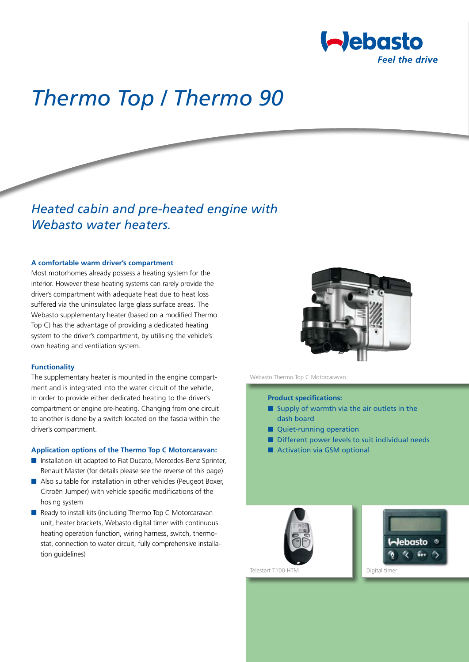

# *Thermo Top / Thermo 90*

## *Heated cabin and pre-heated engine with Webasto water heaters.*

#### **A comfortable warm driver's compartment**

Most motorhomes already possess a heating system for the interior. However these heating systems can rarely provide the driver's compartment with adequate heat due to heat loss suffered via the uninsulated large glass surface areas. The Webasto supplementary heater (based on a modified Thermo Top C) has the advantage of providing a dedicated heating system to the driver's compartment, by utilising the vehicle's own heating and ventilation system.

#### **Functionality**

The supplementary heater is mounted in the engine compartment and is integrated into the water circuit of the vehicle, in order to provide either dedicated heating to the driver's compartment or engine pre-heating. Changing from one circuit to another is done by a switch located on the fascia within the driver's compartment.

#### **Application options of the Thermo Top C Motorcaravan:**

- Installation kit adapted to Fiat Ducato, Mercedes-Benz Sprinter, Renault Master (for details please see the reverse of this page)
- Also suitable for installation in other vehicles (Peugeot Boxer, Citroën Jumper) with vehicle specific modifications of the hosing system
- Ready to install kits (including Thermo Top C Motorcaravan unit, heater brackets, Webasto digital timer with continuous heating operation function, wiring harness, switch, thermostat, connection to water circuit, fully comprehensive installation guidelines)



Webasto Thermo Top C Motorcaravan

#### **Product specifications:**

- Supply of warmth via the air outlets in the dash board
- Quiet-running operation
- Different power levels to suit individual needs
- Activation via GSM optional